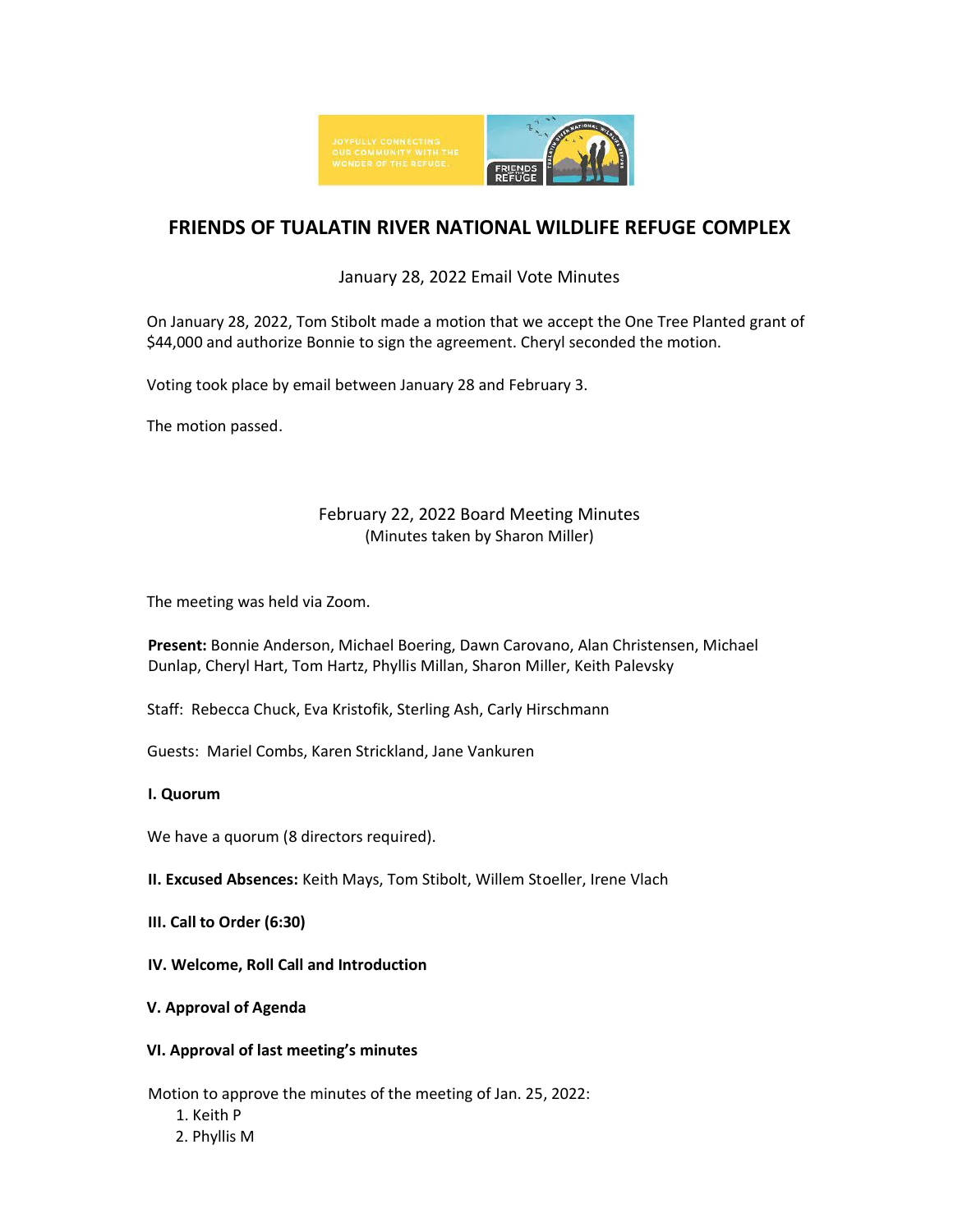

# **FRIENDS OF TUALATIN RIVER NATIONAL WILDLIFE REFUGE COMPLEX**

# January 28, 2022 Email Vote Minutes

On January 28, 2022, Tom Stibolt made a motion that we accept the One Tree Planted grant of \$44,000 and authorize Bonnie to sign the agreement. Cheryl seconded the motion.

Voting took place by email between January 28 and February 3.

The motion passed.

# February 22, 2022 Board Meeting Minutes (Minutes taken by Sharon Miller)

The meeting was held via Zoom.

**Present:** Bonnie Anderson, Michael Boering, Dawn Carovano, Alan Christensen, Michael Dunlap, Cheryl Hart, Tom Hartz, Phyllis Millan, Sharon Miller, Keith Palevsky

Staff: Rebecca Chuck, Eva Kristofik, Sterling Ash, Carly Hirschmann

Guests: Mariel Combs, Karen Strickland, Jane Vankuren

## **I. Quorum**

We have a quorum (8 directors required).

**II. Excused Absences:** Keith Mays, Tom Stibolt, Willem Stoeller, Irene Vlach

**III. Call to Order (6:30)** 

**IV. Welcome, Roll Call and Introduction** 

## **V. Approval of Agenda**

## **VI. Approval of last meeting's minutes**

Motion to approve the minutes of the meeting of Jan. 25, 2022:

- 1. Keith P
- 2. Phyllis M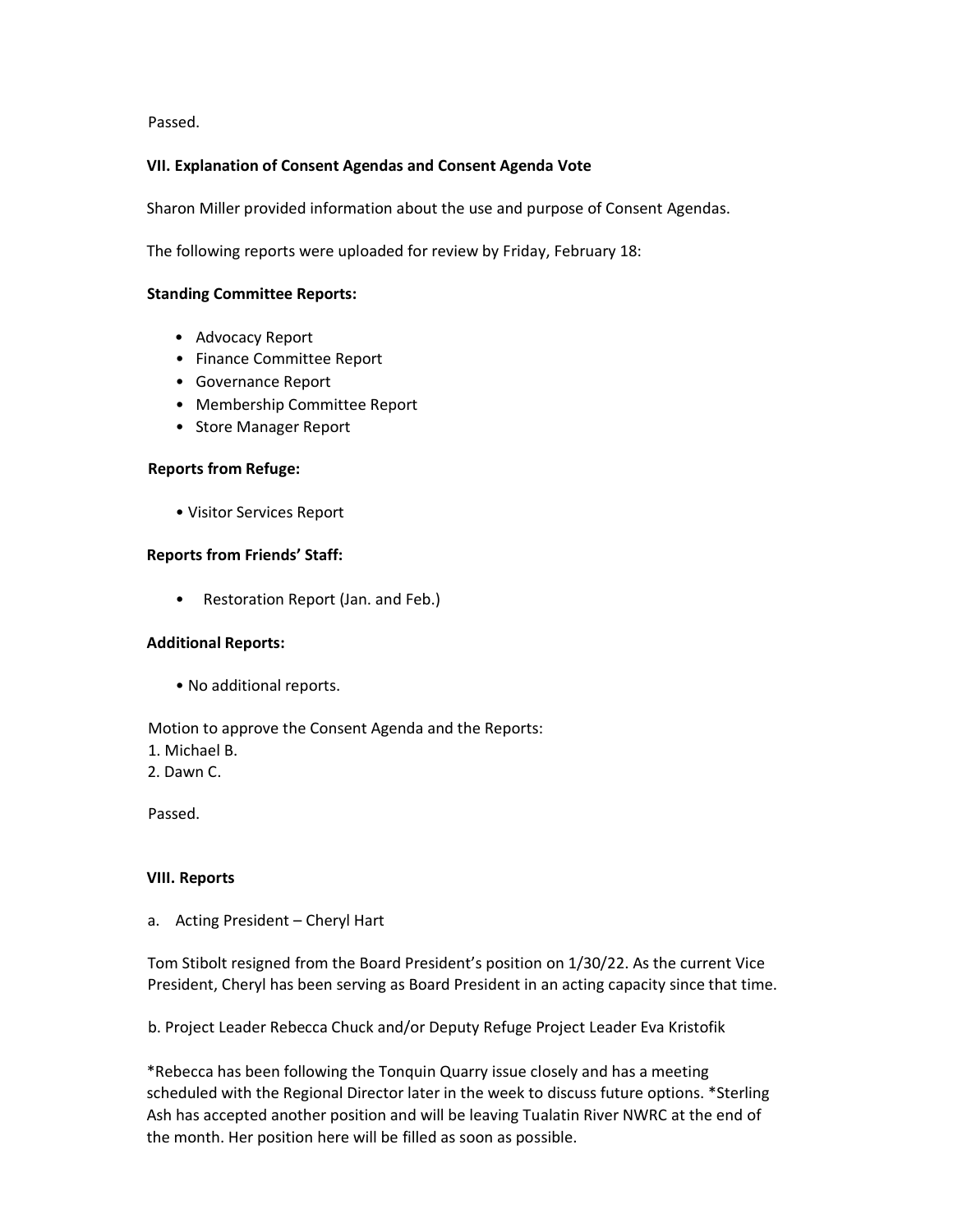Passed.

#### **VII. Explanation of Consent Agendas and Consent Agenda Vote**

Sharon Miller provided information about the use and purpose of Consent Agendas.

The following reports were uploaded for review by Friday, February 18:

#### **Standing Committee Reports:**

- Advocacy Report
- Finance Committee Report
- Governance Report
- Membership Committee Report
- Store Manager Report

#### **Reports from Refuge:**

• Visitor Services Report

#### **Reports from Friends' Staff:**

• Restoration Report (Jan. and Feb.)

#### **Additional Reports:**

• No additional reports.

Motion to approve the Consent Agenda and the Reports:

1. Michael B.

2. Dawn C.

Passed.

#### **VIII. Reports**

a. Acting President – Cheryl Hart

Tom Stibolt resigned from the Board President's position on 1/30/22. As the current Vice President, Cheryl has been serving as Board President in an acting capacity since that time.

b. Project Leader Rebecca Chuck and/or Deputy Refuge Project Leader Eva Kristofik

\*Rebecca has been following the Tonquin Quarry issue closely and has a meeting scheduled with the Regional Director later in the week to discuss future options. \*Sterling Ash has accepted another position and will be leaving Tualatin River NWRC at the end of the month. Her position here will be filled as soon as possible.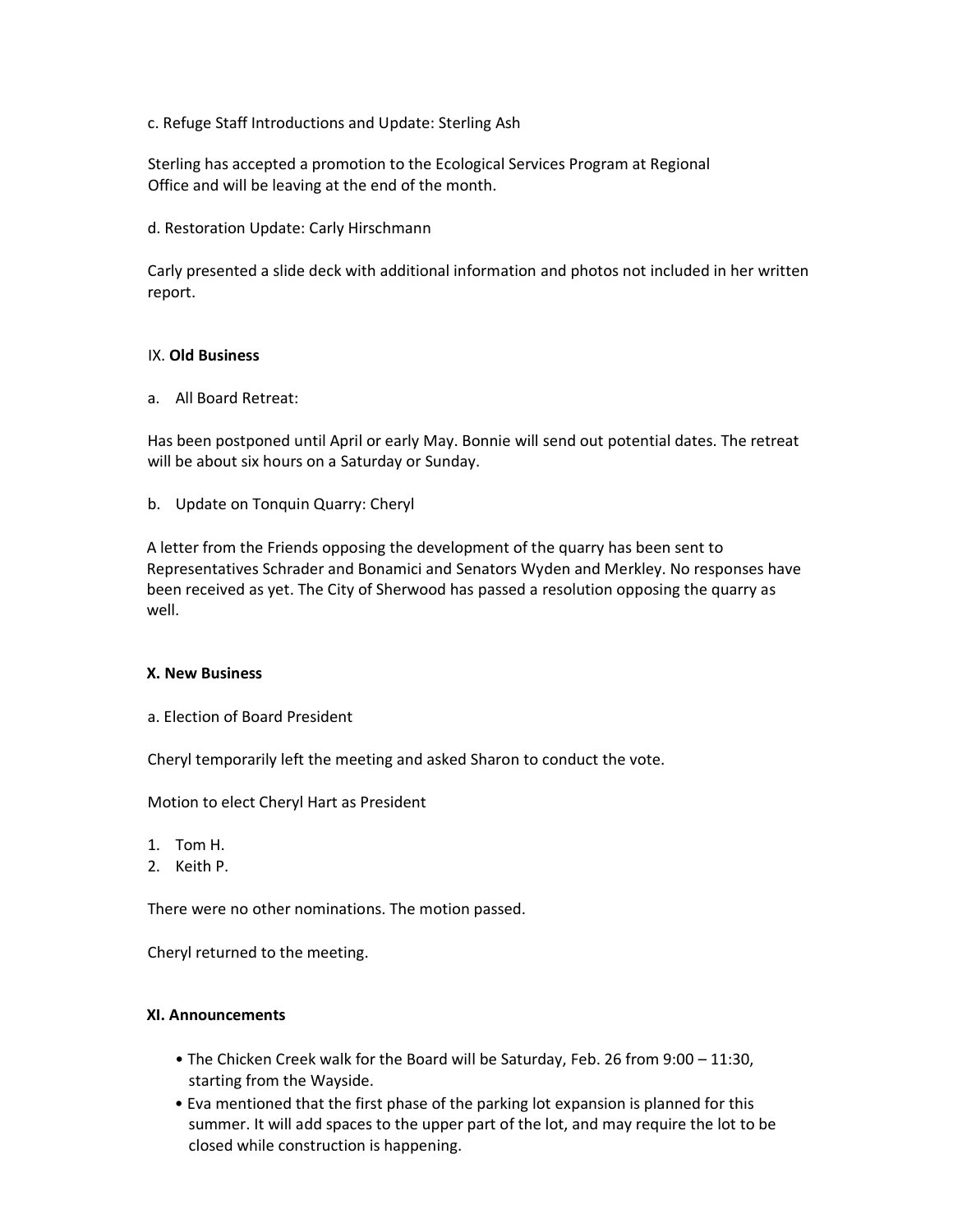c. Refuge Staff Introductions and Update: Sterling Ash

Sterling has accepted a promotion to the Ecological Services Program at Regional Office and will be leaving at the end of the month.

d. Restoration Update: Carly Hirschmann

Carly presented a slide deck with additional information and photos not included in her written report.

#### IX. **Old Business**

a. All Board Retreat:

Has been postponed until April or early May. Bonnie will send out potential dates. The retreat will be about six hours on a Saturday or Sunday.

b. Update on Tonquin Quarry: Cheryl

A letter from the Friends opposing the development of the quarry has been sent to Representatives Schrader and Bonamici and Senators Wyden and Merkley. No responses have been received as yet. The City of Sherwood has passed a resolution opposing the quarry as well.

#### **X. New Business**

a. Election of Board President

Cheryl temporarily left the meeting and asked Sharon to conduct the vote.

Motion to elect Cheryl Hart as President

- 1. Tom H.
- 2. Keith P.

There were no other nominations. The motion passed.

Cheryl returned to the meeting.

#### **XI. Announcements**

- The Chicken Creek walk for the Board will be Saturday, Feb. 26 from 9:00 11:30, starting from the Wayside.
- Eva mentioned that the first phase of the parking lot expansion is planned for this summer. It will add spaces to the upper part of the lot, and may require the lot to be closed while construction is happening.